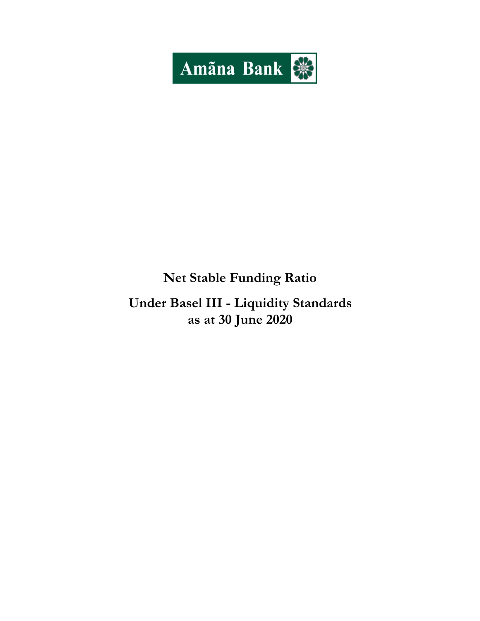

# **Net Stable Funding Ratio**

# **Under Basel III - Liquidity Standards as at 30 June 2020**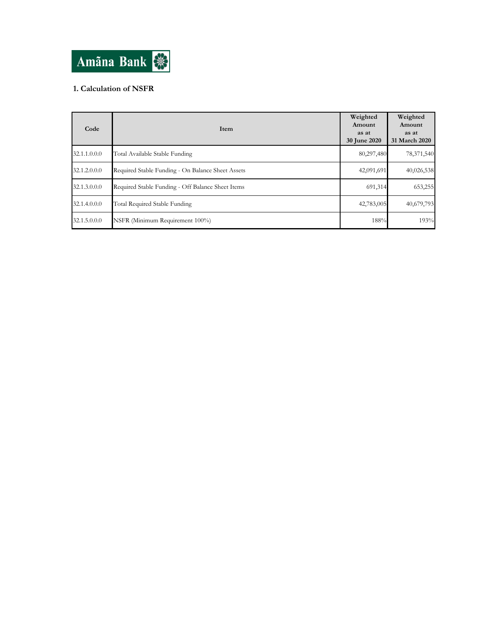

## **1. Calculation of NSFR**

| Code         | Item                                              | Weighted<br>Amount<br>as at<br>30 June 2020 | Weighted<br>Amount<br>as at<br>31 March 2020 |
|--------------|---------------------------------------------------|---------------------------------------------|----------------------------------------------|
| 32.1.1.0.0.0 | Total Available Stable Funding                    | 80,297,480                                  | 78,371,540                                   |
| 32.1.2.0.0.0 | Required Stable Funding - On Balance Sheet Assets | 42,091,691                                  | 40,026,538                                   |
| 32.1.3.0.0.0 | Required Stable Funding - Off Balance Sheet Items | 691,314                                     | 653,255                                      |
| 32.1.4.0.0.0 | Total Required Stable Funding                     | 42,783,005                                  | 40,679,793                                   |
| 32.1.5.0.0.0 | NSFR (Minimum Requirement 100%)                   | 188%                                        | 193%                                         |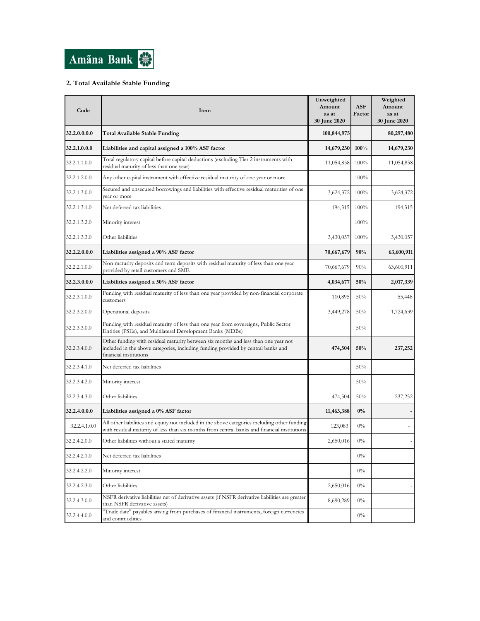

### **2. Total Available Stable Funding**

| Code         | Item                                                                                                                                                                                              | Unweighted<br>Amount<br>as at<br>30 June 2020 | <b>ASF</b><br>Factor | Weighted<br>Amount<br>as at<br>30 June 2020 |
|--------------|---------------------------------------------------------------------------------------------------------------------------------------------------------------------------------------------------|-----------------------------------------------|----------------------|---------------------------------------------|
| 32.2.0.0.0.0 | <b>Total Available Stable Funding</b>                                                                                                                                                             | 100,844,975                                   |                      | 80,297,480                                  |
| 32.2.1.0.0.0 | Liabilities and capital assigned a 100% ASF factor                                                                                                                                                | 14,679,230                                    | 100%                 | 14,679,230                                  |
| 32.2.1.1.0.0 | Total regulatory capital before capital deductions (excluding Tier 2 instruments with<br>residual maturity of less than one year)                                                                 | 11,054,858                                    | 100%                 | 11,054,858                                  |
| 32.2.1.2.0.0 | Any other capital instrument with effective residual maturity of one year or more                                                                                                                 |                                               | 100%                 |                                             |
| 32.2.1.3.0.0 | Secured and unsecured borrowings and liabilities with effective residual maturities of one<br>vear or more                                                                                        | 3,624,372                                     | 100%                 | 3,624,372                                   |
| 32.2.1.3.1.0 | Net deferred tax liabilities                                                                                                                                                                      | 194,315                                       | 100%                 | 194,315                                     |
| 32.2.1.3.2.0 | Minority interest                                                                                                                                                                                 |                                               | 100%                 |                                             |
| 32.2.1.3.3.0 | Other liabilities                                                                                                                                                                                 | 3,430,057                                     | 100%                 | 3,430,057                                   |
| 32.2.2.0.0.0 | Liabilities assigned a 90% ASF factor                                                                                                                                                             | 70,667,679                                    | 90%                  | 63,600,911                                  |
| 32.2.2.1.0.0 | Non-maturity deposits and term deposits with residual maturity of less than one year<br>provided by retail customers and SME                                                                      | 70,667,679                                    | 90%                  | 63,600,911                                  |
| 32.2.3.0.0.0 | Liabilities assigned a 50% ASF factor                                                                                                                                                             | 4,034,677                                     | 50%                  | 2,017,339                                   |
| 32.2.3.1.0.0 | Funding with residual maturity of less than one year provided by non-financial corporate<br>customers                                                                                             | 110,895                                       | 50%                  | 55,448                                      |
| 32.2.3.2.0.0 | Operational deposits                                                                                                                                                                              | 3,449,278                                     | 50%                  | 1,724,639                                   |
| 32.2.3.3.0.0 | Funding with residual maturity of less than one year from sovereigns, Public Sector<br>Entities (PSEs), and Multilateral Development Banks (MDBs)                                                 |                                               | 50%                  |                                             |
| 32.2.3.4.0.0 | Other funding with residual maturity between six months and less than one year not<br>included in the above categories, including funding provided by central banks and<br>financial institutions | 474,504                                       | 50%                  | 237,252                                     |
| 32.2.3.4.1.0 | Net deferred tax liabilities                                                                                                                                                                      |                                               | 50%                  |                                             |
| 32.2.3.4.2.0 | Minority interest                                                                                                                                                                                 |                                               | 50%                  |                                             |
| 32.2.3.4.3.0 | Other liabilities                                                                                                                                                                                 | 474,504                                       | 50%                  | 237,252                                     |
| 32.2.4.0.0.0 | Liabilities assigned a 0% ASF factor                                                                                                                                                              | 11,463,388                                    | $0\%$                |                                             |
| 32.2.4.1.0.0 | All other liabilities and equity not included in the above categories including other funding<br>with residual maturity of less than six months from central banks and financial institutions     | 123,083                                       | $0\%$                |                                             |
| 32.2.4.2.0.0 | Other liabilities without a stated maturity                                                                                                                                                       | 2,650,016                                     | $0\%$                |                                             |
| 32.2.4.2.1.0 | Net deferred tax liabilities                                                                                                                                                                      |                                               | $0\%$                |                                             |
| 32.2.4.2.2.0 | Minority interest                                                                                                                                                                                 |                                               | $0\%$                |                                             |
| 32.2.4.2.3.0 | Other liabilities                                                                                                                                                                                 | 2,650,016                                     | $0\%$                |                                             |
| 32.2.4.3.0.0 | NSFR derivative liabilities net of derivative assets (if NSFR derivative liabilities are greater<br>than NSFR derivative assets)                                                                  | 8,690,289                                     | $0\%$                |                                             |
| 32.2.4.4.0.0 | "Trade date" payables arising from purchases of financial instruments, foreign currencies<br>and commodities                                                                                      |                                               | $0\%$                |                                             |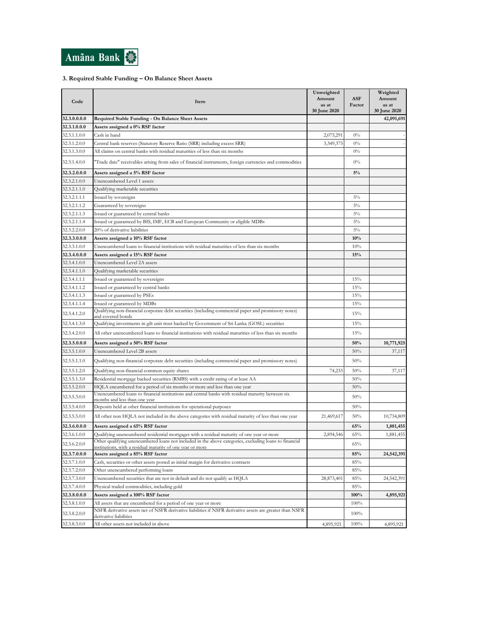

### **3. Required Stable Funding – On Balance Sheet Assets**

| Code         | Item                                                                                                                                                                 | Unweighted<br>Amount<br>as at<br>30 June 2020 | <b>ASF</b><br>Factor | Weighted<br>Amount<br>as at<br>30 June 2020 |
|--------------|----------------------------------------------------------------------------------------------------------------------------------------------------------------------|-----------------------------------------------|----------------------|---------------------------------------------|
| 32.3.0.0.0.0 | Required Stable Funding - On Balance Sheet Assets                                                                                                                    |                                               |                      | 42,091,691                                  |
| 32.3.1.0.0.0 | Assets assigned a 0% RSF factor                                                                                                                                      |                                               |                      |                                             |
| 32.3.1.1.0.0 | Cash in hand                                                                                                                                                         | 2,075,291                                     | $0\%$                |                                             |
| 32.3.1.2.0.0 | Central bank reserves (Statutory Reserve Ratio (SRR) including excess SRR)                                                                                           | 3,349,375                                     | $0\%$                |                                             |
| 32.3.1.3.0.0 | All claims on central banks with residual maturities of less than six months                                                                                         |                                               | 0%                   |                                             |
| 32.3.1.4.0.0 | Trade date" receivables arising from sales of financial instruments, foreign currencies and commodities                                                              |                                               | $0\%$                |                                             |
| 32.3.2.0.0.0 | Assets assigned a 5% RSF factor                                                                                                                                      |                                               | 5%                   |                                             |
| 32.3.2.1.0.0 | Unencumbered Level 1 assets                                                                                                                                          |                                               |                      |                                             |
| 32.3.2.1.1.0 | Qualifying marketable securities                                                                                                                                     |                                               |                      |                                             |
| 32.3.2.1.1.1 | Issued by sovereigns                                                                                                                                                 |                                               | $5\%$                |                                             |
| 32.3.2.1.1.2 | Guaranteed by sovereigns                                                                                                                                             |                                               | 5%                   |                                             |
| 32.3.2.1.1.3 | Issued or guaranteed by central banks                                                                                                                                |                                               | $5\%$                |                                             |
| 32.3.2.1.1.4 | Issued or guaranteed by BIS, IMF, ECB and European Community or eligible MDBs                                                                                        |                                               | $5\%$                |                                             |
| 32.3.2.2.0.0 | 20% of derivative liabilities                                                                                                                                        |                                               | $5\%$                |                                             |
| 32.3.3.0.0.0 | Assets assigned a 10% RSF factor                                                                                                                                     |                                               | 10%                  |                                             |
| 32.3.3.1.0.0 | Unencumbered loans to financial institutions with residual maturities of less than six months                                                                        |                                               | 10%                  |                                             |
| 32.3.4.0.0.0 | Assets assigned a 15% RSF factor                                                                                                                                     |                                               | 15%                  |                                             |
| 32.3.4.1.0.0 | Unencumbered Level 2A assets                                                                                                                                         |                                               |                      |                                             |
| 32.3.4.1.1.0 | Qualifying marketable securities                                                                                                                                     |                                               |                      |                                             |
| 32.3.4.1.1.1 | Issued or guaranteed by sovereigns                                                                                                                                   |                                               | 15%                  |                                             |
| 32.3.4.1.1.2 | Issued or guaranteed by central banks                                                                                                                                |                                               | 15%                  |                                             |
| 32.3.4.1.1.3 | Issued or guaranteed by PSEs                                                                                                                                         |                                               | 15%                  |                                             |
| 32.3.4.1.1.4 | Issued or guaranteed by MDBs                                                                                                                                         |                                               | 15%                  |                                             |
| 32.3.4.1.2.0 | Qualifying non-financial corporate debt securities (including commercial paper and promissory notes)<br>und covered bonds                                            |                                               | 15%                  |                                             |
| 32.3.4.1.3.0 | Qualifying investments in gilt unit trust backed by Government of Sri Lanka (GOSL) securities                                                                        |                                               | 15%                  |                                             |
| 32.3.4.2.0.0 | All other unencumbered loans to financial institutions with residual maturities of less than six months                                                              |                                               | 15%                  |                                             |
| 32.3.5.0.0.0 | Assets assigned a 50% RSF factor                                                                                                                                     |                                               | 50%                  | 10,771,925                                  |
| 32.3.5.1.0.0 | Unencumbered Level 2B assets                                                                                                                                         |                                               | 50%                  | 37,117                                      |
| 32.3.5.1.1.0 | Qualifying non-financial corporate debt securities (including commercial paper and promissory notes)                                                                 |                                               | 50%                  |                                             |
| 32.3.5.1.2.0 | Qualifying non-financial common equity shares                                                                                                                        | 74,233                                        | 50%                  | 37,117                                      |
| 32.3.5.1.3.0 | Residential mortgage backed securities (RMBS) with a credit rating of at least AA                                                                                    |                                               | 50%                  |                                             |
| 32.3.5.2.0.0 | HQLA encumbered for a period of six months or more and less than one year                                                                                            |                                               | 50%                  |                                             |
| 32.3.5.3.0.0 | Unencumbered loans to financial institutions and central banks with residual maturity between six<br>months and less than one year                                   |                                               | 50%                  |                                             |
| 32.3.5.4.0.0 | Deposits held at other financial institutions for operational purposes                                                                                               |                                               | 50%                  |                                             |
| 32.3.5.5.0.0 | All other non HQLA not included in the above categories with residual maturity of less than one year                                                                 | 21,469,617                                    | 50%                  | 10,734,809                                  |
| 32.3.6.0.0.0 | Assets assigned a 65% RSF factor                                                                                                                                     |                                               | 65%                  | 1,881,455                                   |
| 32.3.6.1.0.0 | Qualifying unencumbered residential mortgages with a residual maturity of one year or more                                                                           | 2,894,546                                     | 65%                  | 1,881,455                                   |
| 32.3.6.2.0.0 | Other qualifying unencumbered loans not included in the above categories, excluding loans to financial<br>institutions, with a residual maturity of one year or more |                                               | 65%                  |                                             |
| 32.3.7.0.0.0 | Assets assigned a 85% RSF factor                                                                                                                                     |                                               | 85%                  | 24,542,391                                  |
| 32.3.7.1.0.0 | Cash, securities or other assets posted as initial margin for derivative contracts                                                                                   |                                               | 85%                  |                                             |
| 32.3.7.2.0.0 | Other unencumbered performing loans                                                                                                                                  |                                               | 85%                  |                                             |
| 32.3.7.3.0.0 | Unencumbered securities that are not in default and do not qualify as HQLA                                                                                           | 28,873,401                                    | 85%                  | 24,542,391                                  |
| 32.3.7.4.0.0 | Physical traded commodities, including gold                                                                                                                          |                                               | 85%                  |                                             |
| 32.3.8.0.0.0 | Assets assigned a 100% RSF factor                                                                                                                                    |                                               | 100%                 | 4,895,921                                   |
| 32.3.8.1.0.0 | All assets that are encumbered for a period of one year or more                                                                                                      |                                               | 100%                 |                                             |
| 32.3.8.2.0.0 | NSFR derivative assets net of NSFR derivative liabilities if NSFR derivative assets are greater than NSFR<br>derivative liabilities                                  |                                               | 100%                 |                                             |
| 32.3.8.3.0.0 | All other assets not included in above                                                                                                                               | 4,895,921                                     | 100%                 | 4,895,921                                   |